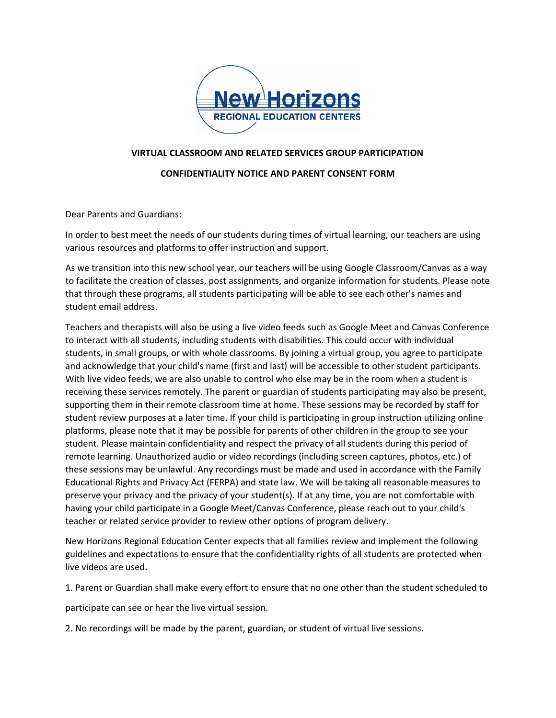

## **VIRTUAL CLASSROOM AND RELATED SERVICES GROUP PARTICIPATION**

## **CONFIDENTIALITY NOTICE AND PARENT CONSENT FORM**

Dear Parents and Guardians:

In order to best meet the needs of our students during times of virtual learning, our teachers are using various resources and platforms to offer instruction and support.

As we transition into this new school year, our teachers will be using Google Classroom/Canvas as a way to facilitate the creation of classes, post assignments, and organize information for students. Please note that through these programs, all students participating will be able to see each other's names and student email address.

Teachers and therapists will also be using a live video feeds such as Google Meet and Canvas Conference to interact with all students, including students with disabilities. This could occur with individual students, in small groups, or with whole classrooms. By joining a virtual group, you agree to participate and acknowledge that your child's name (first and last) will be accessible to other student participants. With live video feeds, we are also unable to control who else may be in the room when a student is receiving these services remotely. The parent or guardian of students participating may also be present, supporting them in their remote classroom time at home. These sessions may be recorded by staff for student review purposes at a later time. If your child is participating in group instruction utilizing online platforms, please note that it may be possible for parents of other children in the group to see your student. Please maintain confidentiality and respect the privacy of all students during this period of remote learning. Unauthorized audio or video recordings (including screen captures, photos, etc.) of these sessions may be unlawful. Any recordings must be made and used in accordance with the Family Educational Rights and Privacy Act (FERPA) and state law. We will be taking all reasonable measures to preserve your privacy and the privacy of your student(s). If at any time, you are not comfortable with having your child participate in a Google Meet/Canvas Conference, please reach out to your child's teacher or related service provider to review other options of program delivery.

New Horizons Regional Education Center expects that all families review and implement the following guidelines and expectations to ensure that the confidentiality rights of all students are protected when live videos are used.

1. Parent or Guardian shall make every effort to ensure that no one other than the student scheduled to

participate can see or hear the live virtual session.

2. No recordings will be made by the parent, guardian, or student of virtual live sessions.